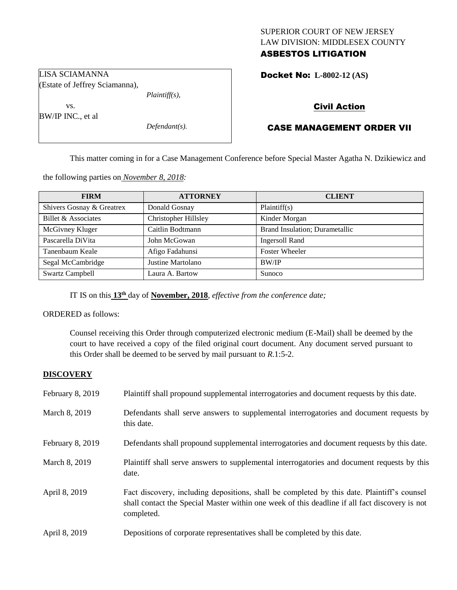## SUPERIOR COURT OF NEW JERSEY LAW DIVISION: MIDDLESEX COUNTY ASBESTOS LITIGATION

Docket No: **L-8002-12 (AS)** 

# Civil Action

# CASE MANAGEMENT ORDER VII

This matter coming in for a Case Management Conference before Special Master Agatha N. Dzikiewicz and

the following parties on *November 8, 2018:*

| <b>FIRM</b>               | <b>ATTORNEY</b>      | <b>CLIENT</b>                  |
|---------------------------|----------------------|--------------------------------|
| Shivers Gosnay & Greatrex | Donald Gosnay        | Plaintiff(s)                   |
| Billet & Associates       | Christopher Hillsley | Kinder Morgan                  |
| McGivney Kluger           | Caitlin Bodtmann     | Brand Insulation; Durametallic |
| Pascarella DiVita         | John McGowan         | <b>Ingersoll Rand</b>          |
| Tanenbaum Keale           | Afigo Fadahunsi      | <b>Foster Wheeler</b>          |
| Segal McCambridge         | Justine Martolano    | BW/IP                          |
| <b>Swartz Campbell</b>    | Laura A. Bartow      | Sunoco                         |

IT IS on this **13th** day of **November, 2018**, *effective from the conference date;*

ORDERED as follows:

Counsel receiving this Order through computerized electronic medium (E-Mail) shall be deemed by the court to have received a copy of the filed original court document. Any document served pursuant to this Order shall be deemed to be served by mail pursuant to *R*.1:5-2.

#### **DISCOVERY**

| February 8, 2019 | Plaintiff shall propound supplemental interrogatories and document requests by this date.                                                                                                                   |
|------------------|-------------------------------------------------------------------------------------------------------------------------------------------------------------------------------------------------------------|
| March 8, 2019    | Defendants shall serve answers to supplemental interrogatories and document requests by<br>this date.                                                                                                       |
| February 8, 2019 | Defendants shall propound supplemental interrogatories and document requests by this date.                                                                                                                  |
| March 8, 2019    | Plaintiff shall serve answers to supplemental interrogatories and document requests by this<br>date.                                                                                                        |
| April 8, 2019    | Fact discovery, including depositions, shall be completed by this date. Plaintiff's counsel<br>shall contact the Special Master within one week of this deadline if all fact discovery is not<br>completed. |
| April 8, 2019    | Depositions of corporate representatives shall be completed by this date.                                                                                                                                   |

LISA SCIAMANNA (Estate of Jeffrey Sciamanna),

vs. BW/IP INC., et al

*Defendant(s).*

*Plaintiff(s),*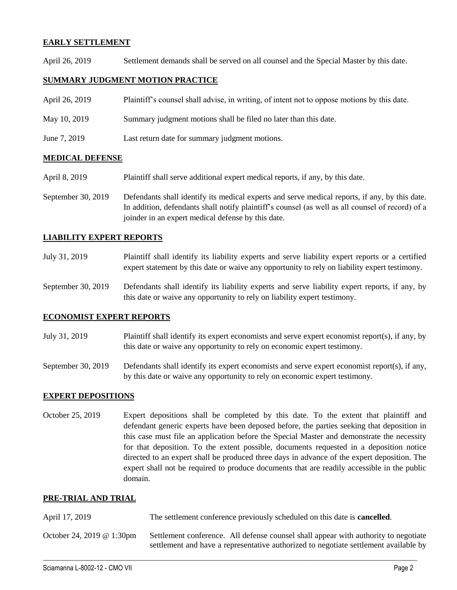## **EARLY SETTLEMENT**

April 26, 2019 Settlement demands shall be served on all counsel and the Special Master by this date.

### **SUMMARY JUDGMENT MOTION PRACTICE**

| April 26, 2019 | Plaintiff's counsel shall advise, in writing, of intent not to oppose motions by this date. |
|----------------|---------------------------------------------------------------------------------------------|
| May 10, 2019   | Summary judgment motions shall be filed no later than this date.                            |
| June 7, 2019   | Last return date for summary judgment motions.                                              |

## **MEDICAL DEFENSE**

- April 8, 2019 Plaintiff shall serve additional expert medical reports, if any, by this date.
- September 30, 2019 Defendants shall identify its medical experts and serve medical reports, if any, by this date. In addition, defendants shall notify plaintiff's counsel (as well as all counsel of record) of a joinder in an expert medical defense by this date.

## **LIABILITY EXPERT REPORTS**

- July 31, 2019 Plaintiff shall identify its liability experts and serve liability expert reports or a certified expert statement by this date or waive any opportunity to rely on liability expert testimony.
- September 30, 2019 Defendants shall identify its liability experts and serve liability expert reports, if any, by this date or waive any opportunity to rely on liability expert testimony.

#### **ECONOMIST EXPERT REPORTS**

- July 31, 2019 Plaintiff shall identify its expert economists and serve expert economist report(s), if any, by this date or waive any opportunity to rely on economic expert testimony.
- September 30, 2019 Defendants shall identify its expert economists and serve expert economist report(s), if any, by this date or waive any opportunity to rely on economic expert testimony.

#### **EXPERT DEPOSITIONS**

October 25, 2019 Expert depositions shall be completed by this date. To the extent that plaintiff and defendant generic experts have been deposed before, the parties seeking that deposition in this case must file an application before the Special Master and demonstrate the necessity for that deposition. To the extent possible, documents requested in a deposition notice directed to an expert shall be produced three days in advance of the expert deposition. The expert shall not be required to produce documents that are readily accessible in the public domain.

#### **PRE-TRIAL AND TRIAL**

| April 17, 2019            | The settlement conference previously scheduled on this date is <b>cancelled</b> .                                                                                           |  |
|---------------------------|-----------------------------------------------------------------------------------------------------------------------------------------------------------------------------|--|
| October 24, 2019 @ 1:30pm | Settlement conference. All defense counsel shall appear with authority to negotiate<br>settlement and have a representative authorized to negotiate settlement available by |  |